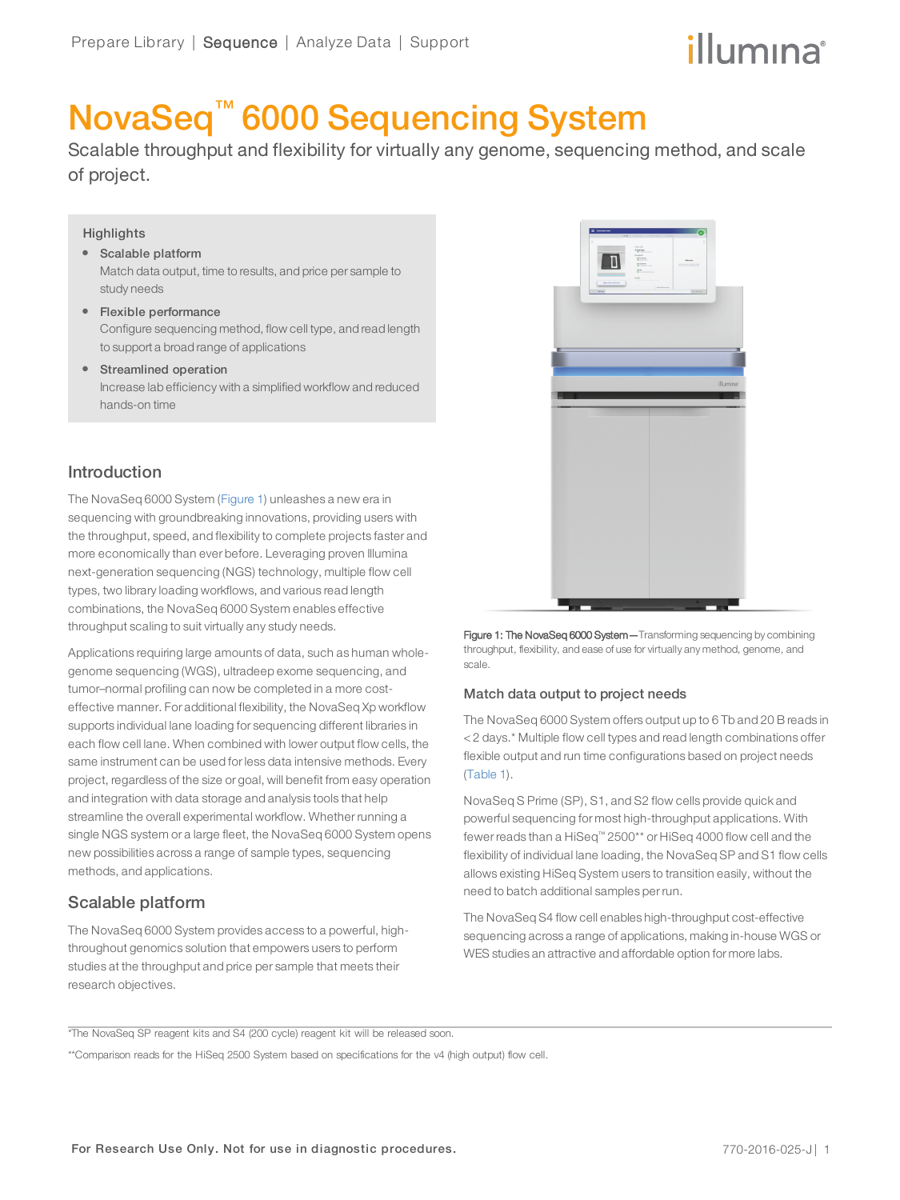# illumına

# NovaSeq™ 6000 Sequencing System

Scalable throughput and flexibility for virtually any genome, sequencing method, and scale of project.

## **Highlights**

- Scalable platform Match data output, time to results, and price per sample to study needs
- Flexible performance Configure sequencing method, flow cell type, and read length to support a broad range of applications
- Streamlined operation Increase lab efficiency with a simplified workflow and reduced hands-on time

# Introduction

The NovaSeq 6000 System ([Figure 1](#page-0-0)) unleashes a new era in sequencing with groundbreaking innovations, providing users with the throughput, speed, and flexibility to complete projects faster and more economically than ever before. Leveraging proven Illumina next-generation sequencing (NGS) technology, multiple flow cell types, two library loading workflows, and various read length combinations, the NovaSeq 6000 System enables effective throughput scaling to suit virtually any study needs.

Applications requiring large amounts of data, such as human wholegenome sequencing (WGS), ultradeep exome sequencing, and tumor–normal profiling can now be completed in a more costeffective manner. For additional flexibility, the NovaSeq Xp workflow supports individual lane loading for sequencing different libraries in each flow cell lane. When combined with lower output flow cells, the same instrument can be used for less data intensive methods. Every project, regardless of the size or goal, will benefit from easy operation and integration with data storage and analysis tools that help streamline the overall experimental workflow. Whether running a single NGS system or a large fleet, the NovaSeq 6000 System opens new possibilities across a range of sample types, sequencing methods, and applications.

# Scalable platform

The NovaSeq 6000 System provides access to a powerful, highthroughout genomics solution that empowers users to perform studies at the throughput and price per sample that meets their research objectives.



<span id="page-0-0"></span>Figure 1: The NovaSeq 6000 System - Transforming sequencing by combining throughput, flexibility, and ease of use for virtually any method, genome, and scale.

## Match data output to project needs

The NovaSeq 6000 System offers output up to 6 Tb and 20 B reads in < 2 days.\* Multiple flow cell types and read length combinations offer flexible output and run time configurations based on project needs ([Table 1](#page-1-0)).

NovaSeq S Prime (SP), S1, and S2 flow cells provide quick and powerful sequencing for most high-throughput applications. With fewer reads than a HiSeq™ 2500\*\* or HiSeq 4000 flow cell and the flexibility of individual lane loading, the NovaSeq SP and S1 flow cells allows existing HiSeq System users to transition easily, without the need to batch additional samples per run.

The NovaSeq S4 flow cell enables high-throughput cost-effective sequencing across a range of applications, making in-house WGS or WES studies an attractive and affordable option for more labs.

\*The NovaSeq SP reagent kits and S4 (200 cycle) reagent kit will be released soon.

\*\*Comparison reads for the HiSeq 2500 System based on specifications for the v4 (high output) flow cell.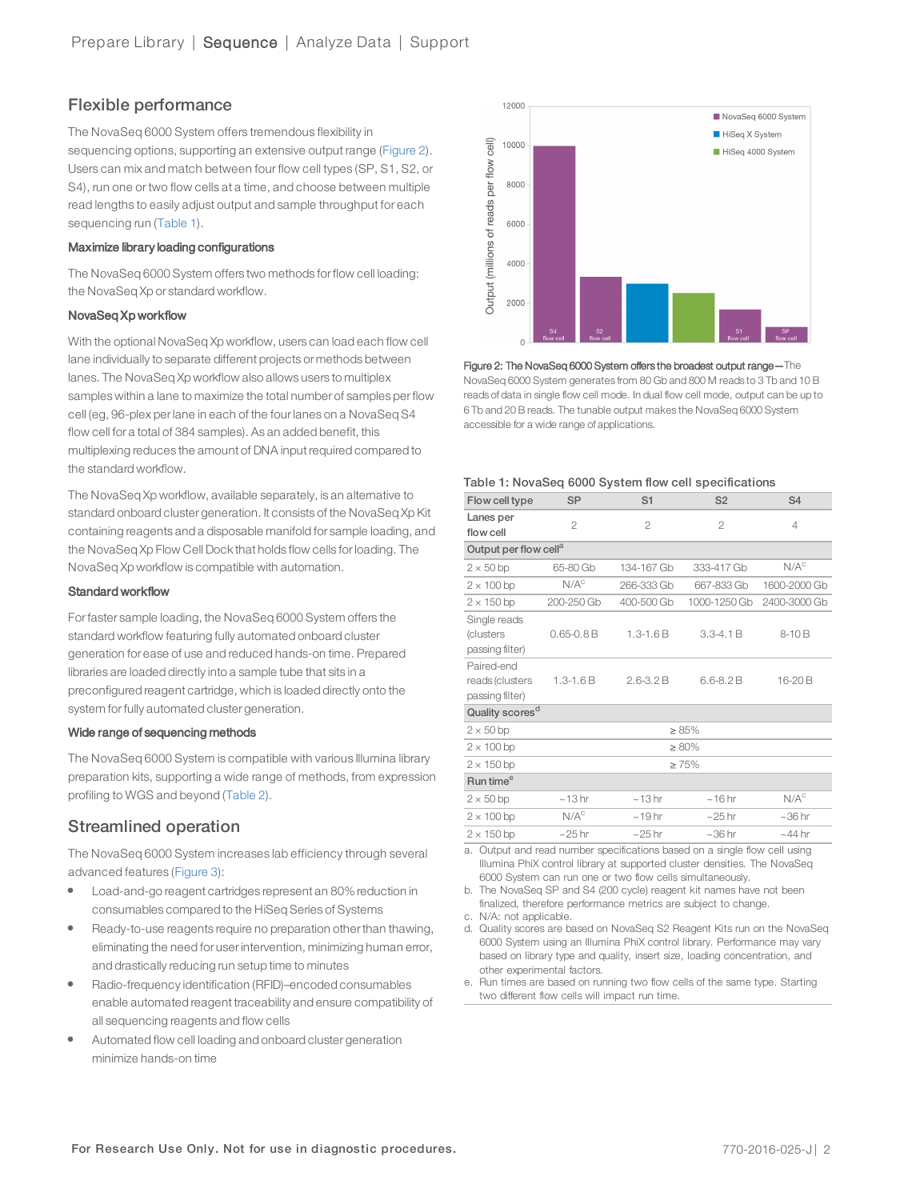# Flexible performance

The NovaSeq 6000 System offers tremendous flexibility in sequencing options, supporting an extensive output range ([Figure 2\)](#page-1-1). Users can mix and match between four flow cell types (SP, S1, S2, or S4), run one or two flow cells at a time, and choose between multiple read lengths to easily adjust output and sample throughput for each sequencing run ([Table 1\)](#page-1-0).

## Maximize library loading configurations

The NovaSeq 6000 System offers two methods forflow cell loading: the NovaSeq Xp or standard workflow.

### NovaSeq Xp workflow

With the optional NovaSeq Xp workflow, users can load each flow cell lane individually to separate different projects or methods between lanes. The NovaSeq Xp workflow also allows users to multiplex samples within a lane to maximize the total number of samples perflow cell (eg, 96-plex perlane in each of the fourlanes on a NovaSeq S4 flow cell for a total of 384 samples). As an added benefit, this multiplexing reduces the amount of DNA input required compared to the standard workflow.

The NovaSeq Xp workflow, available separately, is an alternative to standard onboard cluster generation. It consists of the NovaSeq Xp Kit containing reagents and a disposable manifold for sample loading, and the NovaSeq Xp Flow Cell Dock that holds flow cells forloading. The NovaSeq Xp workflow is compatible with automation.

#### Standard workflow

Forfaster sample loading, the NovaSeq 6000 System offers the standard workflow featuring fully automated onboard cluster generation for ease of use and reduced hands-on time. Prepared libraries are loaded directly into a sample tube that sits in a preconfigured reagent cartridge, which is loaded directly onto the system for fully automated cluster generation.

### Wide range of sequencing methods

The NovaSeq 6000 System is compatible with various Illumina library preparation kits, supporting a wide range of methods, from expression profiling to WGS and beyond ([Table 2](#page-2-0)).

# Streamlined operation

The NovaSeq 6000 System increases lab efficiency through several advanced features [\(Figure 3\)](#page-2-1):

- Load-and-go reagent cartridges represent an 80% reduction in consumables compared to the HiSeq Series of Systems
- Ready-to-use reagents require no preparation other than thawing. eliminating the need for userintervention, minimizing human error, and drastically reducing run setup time to minutes
- l Radio-frequency identification (RFID)–encoded consumables enable automated reagent traceability and ensure compatibility of all sequencing reagents and flow cells
- Automated flow cell loading and onboard cluster generation minimize hands-on time



<span id="page-1-1"></span>Figure 2: The NovaSeq 6000 System offers the broadest output range—The NovaSeq 6000 System generates from 80 Gb and 800 M reads to 3 Tb and 10 B reads of data in single flow cell mode. In dual flow cell mode, output can be up to 6 Tb and 20 B reads. The tunable output makes the NovaSeq 6000 System accessible for a wide range of applications.

#### <span id="page-1-0"></span>Table 1: NovaSeq 6000 System flow cell specifications

| Flow cell type                                   | <b>SP</b>        | S1            | S <sub>2</sub> | S <sub>4</sub>   |
|--------------------------------------------------|------------------|---------------|----------------|------------------|
| Lanes per<br>flow cell                           | $\overline{c}$   | 2             | $\overline{2}$ | 4                |
| Output per flow cell <sup>a</sup>                |                  |               |                |                  |
| $2 \times 50$ bp                                 | 65-80 Gb         | 134-167 Gb    | 333-417 Gb     | $N/A^c$          |
| $2 \times 100$ bp                                | N/A <sup>c</sup> | 266-333 Gb    | 667-833 Gb     | 1600-2000 Gb     |
| $2 \times 150$ bp                                | 200-250 Gb       | 400-500 Gb    | 1000-1250 Gb   | 2400-3000 Gb     |
| Single reads<br>(clusters<br>passing filter)     | $0.65 - 0.8 B$   | $1.3 - 1.6B$  | $3.3 - 4.1 B$  | $8-10B$          |
| Paired-end<br>reads (clusters<br>passing filter) | $1.3 - 1.6B$     | $2.6 - 3.2 B$ | $6.6 - 8.2 B$  | 16-20 B          |
| Quality scores <sup>d</sup>                      |                  |               |                |                  |
| $2 \times 50$ bp                                 | $\geq 85\%$      |               |                |                  |
| $2 \times 100$ bp                                | $\geq 80\%$      |               |                |                  |
| $2 \times 150$ bp                                | $\geq 75\%$      |               |                |                  |
| Run time <sup>e</sup>                            |                  |               |                |                  |
| $2 \times 50$ bp                                 | ~13hr            | ~13hr         | $~16$ hr       | N/A <sup>c</sup> |
| $2 \times 100$ bp                                | N/A <sup>c</sup> | $~19$ hr      | $\sim$ 25 hr   | $~1$ 36 hr       |
| $2 \times 150$ bp                                | $\sim$ 25 hr     | $\sim$ 25 hr  | $~1$ 36 hr     | $~144$ hr        |

<span id="page-1-2"></span>a. Output and read number specifications based on a single flow cell using Illumina PhiX control library at supported cluster densities. The NovaSeq 6000 System can run one or two flow cells simultaneously.

<span id="page-1-4"></span>b. The NovaSeq SP and S4 (200 cycle) reagent kit names have not been finalized, therefore performance metrics are subject to change.

<span id="page-1-3"></span>c. N/A: not applicable.

- <span id="page-1-5"></span>d. Quality scores are based on NovaSeq S2 Reagent Kits run on the NovaSeq 6000 System using an Illumina PhiX control library. Performance may vary based on library type and quality, insert size, loading concentration, and other experimental factors.
- e. Run times are based on running two flow cells of the same type. Starting two different flow cells will impact run time.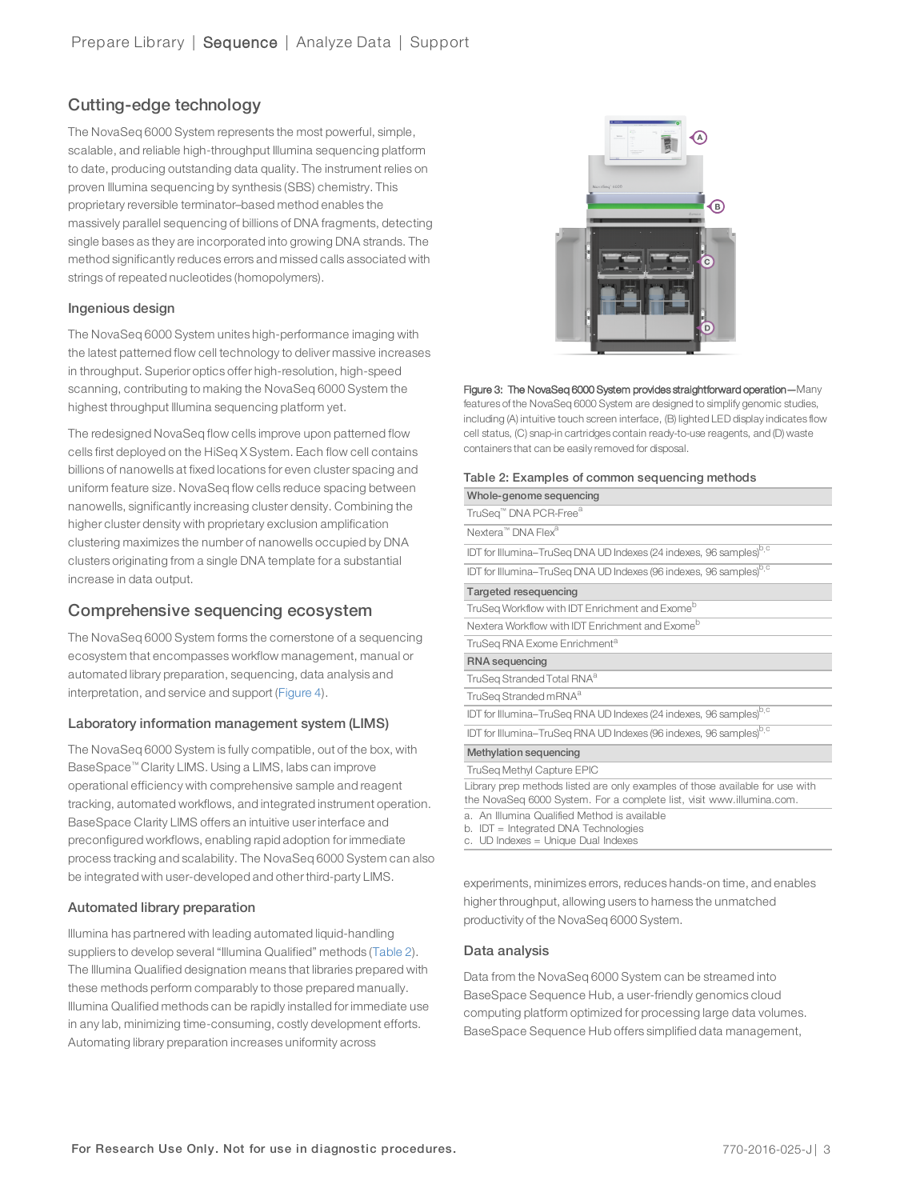# Cutting-edge technology

The NovaSeq 6000 System represents the most powerful, simple, scalable, and reliable high-throughput Illumina sequencing platform to date, producing outstanding data quality. The instrument relies on proven Illumina sequencing by synthesis (SBS) chemistry. This proprietary reversible terminator–based method enables the massively parallel sequencing of billions of DNA fragments, detecting single bases as they are incorporated into growing DNA strands. The method significantly reduces errors and missed calls associated with strings of repeated nucleotides (homopolymers).

## Ingenious design

The NovaSeq 6000 System unites high-performance imaging with the latest patterned flow cell technology to deliver massive increases in throughput. Superior optics offer high-resolution, high-speed scanning, contributing to making the NovaSeq 6000 System the highest throughput Illumina sequencing platform yet.

The redesigned NovaSeq flow cells improve upon patterned flow cells first deployed on the HiSeq X System. Each flow cell contains billions of nanowells at fixed locations for even cluster spacing and uniform feature size. NovaSeq flow cells reduce spacing between nanowells, significantly increasing cluster density. Combining the higher cluster density with proprietary exclusion amplification clustering maximizes the number of nanowells occupied by DNA clusters originating from a single DNA template for a substantial increase in data output.

## Comprehensive sequencing ecosystem

The NovaSeq 6000 System forms the cornerstone of a sequencing ecosystem that encompasses workflow management, manual or automated library preparation, sequencing, data analysis and interpretation, and service and support ([Figure 4](#page-3-0)).

### Laboratory information management system (LIMS)

The NovaSeq 6000 System is fully compatible, out of the box, with BaseSpace™ Clarity LIMS. Using a LIMS, labs can improve operational efficiency with comprehensive sample and reagent tracking, automated workflows, and integrated instrument operation. BaseSpace Clarity LIMS offers an intuitive user interface and preconfigured workflows, enabling rapid adoption for immediate process tracking and scalability. The NovaSeq 6000 System can also be integrated with user-developed and other third-party LIMS.

### Automated library preparation

lllumina has partnered with leading automated liquid-handling suppliers to develop several "Illumina Qualified" methods ([Table 2\)](#page-2-0). The Illumina Qualified designation means that libraries prepared with these methods perform comparably to those prepared manually. Illumina Qualified methods can be rapidly installed for immediate use in any lab, minimizing time-consuming, costly development efforts. Automating library preparation increases uniformity across



#### <span id="page-2-1"></span>Figure 3: The NovaSeq 6000 System provides straightforward operation—Many features of the NovaSeq 6000 System are designed to simplify genomic studies, including (A) intuitive touch screen interface, (B) lighted LED display indicates flow cell status, (C) snap-in cartridges contain ready-to-use reagents, and (D) waste containers that can be easily removed for disposal.

#### <span id="page-2-0"></span>Table 2: Examples of common sequencing methods

| Whole-genome sequencing                                                                                                                                |
|--------------------------------------------------------------------------------------------------------------------------------------------------------|
| TruSeq™ DNA PCR-Free <sup>a</sup>                                                                                                                      |
| Nextera <sup>™</sup> DNA Flex <sup>a</sup>                                                                                                             |
| IDT for Illumina-TruSeq DNA UD Indexes (24 indexes, 96 samples) <sup>b,c</sup>                                                                         |
| IDT for Illumina-TruSeq DNA UD Indexes (96 indexes, 96 samples) <sup>b,c</sup>                                                                         |
| Targeted resequencing                                                                                                                                  |
| TruSeg Workflow with IDT Enrichment and Exome <sup>b</sup>                                                                                             |
| Nextera Workflow with IDT Enrichment and Exome <sup>b</sup>                                                                                            |
| TruSeg RNA Exome Enrichment <sup>a</sup>                                                                                                               |
| RNA sequencing                                                                                                                                         |
| TruSeg Stranded Total RNA <sup>a</sup>                                                                                                                 |
| TruSeg Stranded mRNA <sup>a</sup>                                                                                                                      |
| IDT for Illumina-TruSeq RNA UD Indexes (24 indexes, 96 samples) <sup>b,c</sup>                                                                         |
| IDT for Illumina-TruSeq RNA UD Indexes (96 indexes, 96 samples) <sup>b,c</sup>                                                                         |
| Methylation sequencing                                                                                                                                 |
| TruSeq Methyl Capture EPIC                                                                                                                             |
| Library prep methods listed are only examples of those available for use with<br>the NovaSeq 6000 System. For a complete list, visit www.illumina.com. |
| a. An Illumina Qualified Method is available<br>b. IDT = Integrated DNA Technologies                                                                   |

<span id="page-2-4"></span><span id="page-2-3"></span><span id="page-2-2"></span>c. UD Indexes = Unique Dual Indexes

experiments, minimizes errors, reduces hands-on time, and enables higher throughput, allowing users to hamess the unmatched productivity of the NovaSeq 6000 System.

### Data analysis

Data from the NovaSeq 6000 System can be streamed into BaseSpace Sequence Hub, a user-friendly genomics cloud computing platform optimized for processing large data volumes. BaseSpace Sequence Hub offers simplified data management,